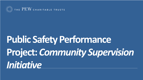

 $\mathbb{P}^{\mathbb{Z}}$  the  $\mathrm{PEW}$  charitable trusts

# **Public Safety Performance Project:** *Community Supervision Initiative*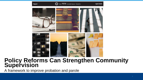Report

#### THE PEW CHARITABLE TRUSTS

April 2020



#### **Policy Reforms Can Strengthen Community Supervision**

A framework to improve probation and parole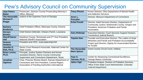#### Pew's Advisory Council on Community Supervision

| <b>Jean Peters</b><br><b>Baker</b>        | Prosecutor, Jackson County Prosecuting Attorney's<br>Office, Missouri                                   | <b>Tracy Plouck</b>      | former Director, Ohio Department of Mental Health<br>and Addiction Services                                                                                                    |
|-------------------------------------------|---------------------------------------------------------------------------------------------------------|--------------------------|--------------------------------------------------------------------------------------------------------------------------------------------------------------------------------|
| <b>The Honorable</b><br><b>Michael P.</b> | Justice of the Supreme Court of Georgia                                                                 |                          | <b>Director, Missouri Department of Corrections</b>                                                                                                                            |
| <b>Boggs</b>                              |                                                                                                         | <b>Erika Preuitt</b>     | Director, Adult Services Division, Department of<br>Community Justice, Multnomah County, Oregon and                                                                            |
| <b>Barbara</b><br><b>Broderick</b>        | Chief Probation Officer, Maricopa County, Arizona                                                       |                          | <b>President, American Probation and Parole</b><br>Association                                                                                                                 |
| <b>Derwyn</b><br><b>Bunton</b>            | Chief District Defender, Orleans Parish, Louisiana                                                      | <b>Gary Roberge</b>      | Executive Director, Court Services Support Division,<br><b>Connecticut Judicial Branch;</b>                                                                                    |
| <b>Sheriff Daron</b><br>Hall              | Davidson County, Tennessee and 2 <sup>nd</sup> Vice President,<br><b>National Sheriff's Association</b> | <b>Topeka Sam</b>        | Founder and Executive Director, The Ladies of Hope<br>Ministries and Parole and Probation Accountability<br>Project and Director, Dignity for Incarcerated Women<br>for #cut50 |
| <b>Deanna</b><br><b>Hoskins</b>           | President and CEO, JustLeadershipUSA                                                                    |                          |                                                                                                                                                                                |
| Jennifer K.<br>Elek, Ph.D.                | Senior Court Research Associate, National Center for<br><b>State Courts</b>                             | <b>The Honorable</b>     | <b>Grant County Circuit Court, Indiana</b>                                                                                                                                     |
| <b>Brian Lovins,</b><br>Ph.D.             | Principal, Justice System Partners and former<br><b>Assistant Director, Harris County Community</b>     | <b>Mark Spitzer</b>      |                                                                                                                                                                                |
| <b>Jonathan</b>                           | Supervision and Corrections Department, Texas<br>Chair, Prisoner Review Board, Kansas Department of     | Faye S.<br>Taxman, Ph.D. | Center for Advancing Correctional Excellence,<br><b>George Mason University</b>                                                                                                |
| <b>Ogletree</b>                           | Corrections and Vice President, Central Region,<br>Association of Paroling Authorities International    | <b>Jalice Vigil</b>      | Probation Analyst, Division of Probation Services,<br>Office of the State Court Administrator, Colorado<br><b>Judicial Department</b>                                          |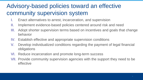### Advisory-based policies toward an effective community supervision system

- I. Enact alternatives to arrest, incarceration, and supervision
- II. Implement evidence-based policies centered around risk and need
- III. Adopt shorter supervision terms based on incentives and goals that change behavior
- IV. Establish effective and appropriate supervision conditions
- V. Develop individualized conditions regarding the payment of legal financial obligations
- VI. Reduce incarceration and promote long-term success
- VII. Provide community supervision agencies with the support they need to be effective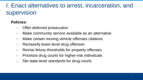### I. Enact alternatives to arrest, incarceration, and supervision

- Offer deferred prosecution
- Make community service available as an alternative
- Make certain moving vehicle offenses citations
- Reclassify lower-level drug offenses
- Revise felony thresholds for property offenses
- Prioritize drug courts for higher-risk individuals
- Set state-level standards for drug courts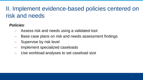### II. Implement evidence-based policies centered on risk and needs

- Assess risk and needs using a validated tool
- Base case plans on risk and needs assessment findings
- Supervise by risk level
- Implement specialized caseloads
- Use workload analyses to set caseload size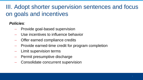### III. Adopt shorter supervision sentences and focus on goals and incentives

- Provide goal-based supervision
- Use incentives to influence behavior
- Offer earned compliance credits
- Provide earned-time credit for program completion
- Limit supervision terms
- Permit presumptive discharge
- Consolidate concurrent supervision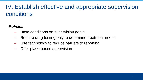### IV. Establish effective and appropriate supervision conditions

- Base conditions on supervision goals
- Require drug testing only to determine treatment needs
- Use technology to reduce barriers to reporting
- Offer place-based supervision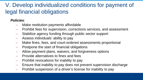### V. Develop individualized conditions for payment of legal financial obligations

- Make restitution payments affordable
- Prohibit fees for supervision, corrections services, and assessment
- Stabilize agency funding through public sector support
- Assess individuals' ability to pay
- Make fines, fees, and court-ordered assessments proportional
- Postpone the start of financial obligations
- Allow payment plans, waivers, and forgiveness options
- Provide alternatives to fines and fees
- Prohibit revocations for inability to pay
- Ensure that inability to pay does not prevent supervision discharge
- Prohibit suspension of a driver's license for inability to pay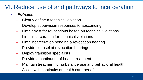### VI. Reduce use of and pathways to incarceration

- *Policies:*
	- Clearly define a technical violation
	- Develop supervision responses to absconding
	- Limit arrest for revocations based on technical violations
	- Limit incarceration for technical violations
	- Limit incarceration pending a revocation hearing
	- Provide counsel at revocation hearings
	- Deploy transition specialists
	- Provide a continuum of health treatment
	- Maintain treatment for substance use and behavioral health
	- Assist with continuity of health care benefits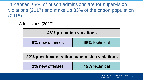In Kansas, 68% of prison admissions are for supervision violations (2017) and make up 33% of the prison population (2018).

Admissions (2017):

#### **46% probation violations**

#### **22% post-incarceration supervision violations**

| 3% new offenses | 19% technical |
|-----------------|---------------|
|                 |               |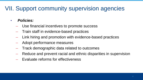### VII. Support community supervision agencies

- *Policies:*
	- Use financial incentives to promote success
	- Train staff in evidence-based practices
	- Link hiring and promotion with evidence-based practices
	- Adopt performance measures
	- Track demographic data related to outcomes
	- Reduce and prevent racial and ethnic disparities in supervision
	- Evaluate reforms for effectiveness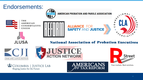#### Endorsements:



Free markets. Real solutions.

COLUMBIA | JUSTICE LAB Shaping Justice for the Future

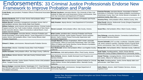#### Endorsements: 33 Criminal Justice Professionals Endorse New Framework to Improve Probation and Parole

| Linda Brady, past president, Probation Officers Professional Association Michael Jacobson, executive director, City University of New York<br>lof Indiana.                                                                                                         | Institute for State and Local Governance; former commissioner, New<br>York City Corrections and Department of Probation.                                                                                                                   | <b>Francine Perretta</b> , executive director, Association of Women<br>Executives in Correction; former deputy probation commissioner,<br>Westchester County, New York; former director of probation, St.<br>Lawrence County, New York. |
|--------------------------------------------------------------------------------------------------------------------------------------------------------------------------------------------------------------------------------------------------------------------|--------------------------------------------------------------------------------------------------------------------------------------------------------------------------------------------------------------------------------------------|-----------------------------------------------------------------------------------------------------------------------------------------------------------------------------------------------------------------------------------------|
| Barbara Broderick, EXIT co-chair; former chief probation officer,<br>Maricopa County, Arizona.                                                                                                                                                                     | Julie Kempker, director, Missouri Division of Probation and Parole.                                                                                                                                                                        | Veronica Perry, chief probation officer, Medina County, Ohio.                                                                                                                                                                           |
| William Burrell, corrections management consultant; former chief of<br>adult probation services, New Jersey State Court System.                                                                                                                                    | Sally Kreamer, deputy director, Iowa Department of Corrections.                                                                                                                                                                            | Erika Preuitt, director, Multnomah County (Oregon) Department<br>of Community Justice.                                                                                                                                                  |
| <b>William Carbone, senior lecturer and executive director, Criminal Justice</b><br>Programs and the Tow Youth Justice Institute, University of New Haven;<br>former executive director, State of Connecticut Judicial Branch, Court<br>Support Services Division. | Steven Lessard, chief probation officer, Gila County, Arizona.                                                                                                                                                                             | Susan Rice, chief probation officer, Miami County, Indiana.                                                                                                                                                                             |
| Veronica Cunningham, executive director, American Probation and<br>Parole Association; former parole director, Texas Department of Criminal<br>Justice; former chief probation officer, Cook County (Illinois) Adult<br>Probation Department.                      | Brian Lovins, president-elect, American Probation and Parole<br>Association; principal, Justice System Partners; former assistant<br>director, Harris County (Texas) Community Supervision and<br>Corrections Department.                  | Gary Roberge, executive director, Connecticut Judicial Branch,<br>Court Support Services Division.                                                                                                                                      |
| Edward J. Dolan, commissioner, Massachusetts Probation Service.                                                                                                                                                                                                    | Joseph Mancini, director of operations, SEAT Center; associate<br>commissioner, Office of Community Partnerships, New York State<br>Office of Children and Family Services; former director of probation,<br>Schenectady County, New York. | Vincent Schiraldi, EXIT co-chair; co-director, Columbia Justice<br>Lab; senior research scientist, Columbia School of Social Work;<br>former commissioner, New York City Department of Probation.                                       |
| Vincent Doto, director, Columbia County (New York) Probation<br>Department.                                                                                                                                                                                        | Terri McDonald, former chief probation officer, Los Angeles County,<br>California.                                                                                                                                                         | Wendy Still, chief probation officer, Alameda County, California.                                                                                                                                                                       |
| Adolfo Gonzales, chief probation officer, San Diego County, California.                                                                                                                                                                                            | Rod McKone, chief adult probation officer, Pinal County, Arizona.                                                                                                                                                                          | Scott Taylor, founding partner, JustUs; former director,<br>Multnomah County (Oregon) Department of Community Justice.                                                                                                                  |
| Kele Griffone, division director, Salt Lake County Criminal Justice<br>Services.                                                                                                                                                                                   | Betty McNeely, director, Seattle Municipal Court Programs and<br>Services Division.                                                                                                                                                        | <b>Aswad Thomas, managing director, Crime Survivors for Safety</b><br>and Justice, Alliance for Safety and Justice.                                                                                                                     |
| Billie Grobe, associate, Justice System Partners; former chief probation<br>officer, Yavapai County, Arizona.                                                                                                                                                      | David Muhammad, executive director, National Institute for Criminal<br>Justice Reform; former chief probation officer, Alameda County,<br>California.                                                                                      | Ray Wahl, founding partner, JustUs; former deputy state court<br>administrator, Utah State Courts.                                                                                                                                      |
| Marcus Hodges, associate director, Washington, D.C., Court Services<br>and Offender Supervision Agency; former president, National Association<br>of Probation Executives.                                                                                         | Michael Wayne Nail, commissioner, Georgia Department of<br>Community Supervision.                                                                                                                                                          | Kathy Waters, director, Adult Probation Services, Arizona<br>Supreme Court                                                                                                                                                              |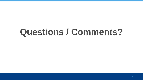## **Questions / Comments?**